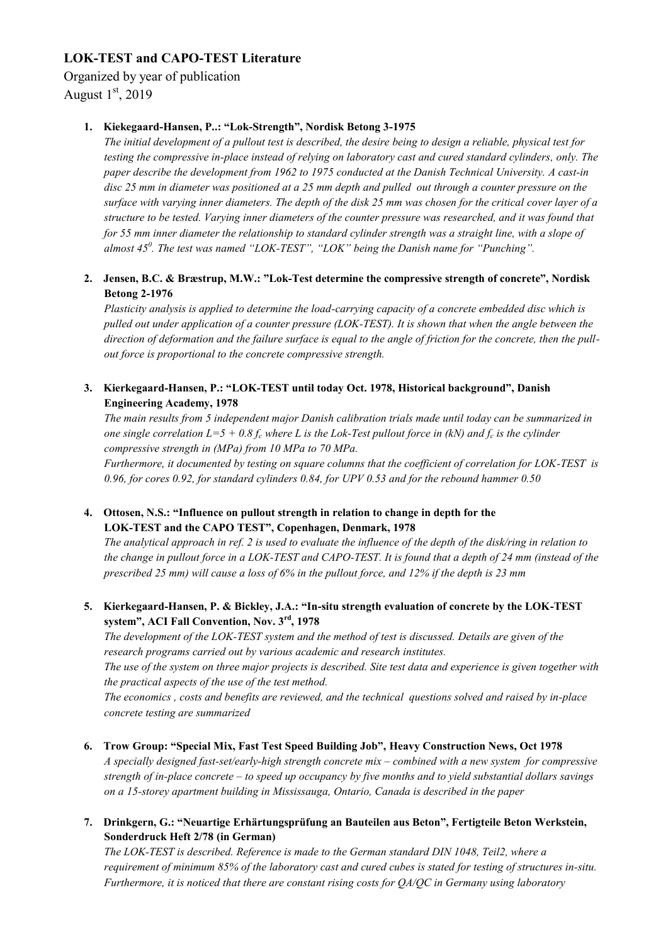# **LOK-TEST and CAPO-TEST Literature**

# Organized by year of publication

August  $1<sup>st</sup>$ , 2019

# **1. Kiekegaard-Hansen, P..: "Lok-Strength", Nordisk Betong 3-1975**

*The initial development of a pullout test is described, the desire being to design a reliable, physical test for testing the compressive in-place instead of relying on laboratory cast and cured standard cylinders, only. The paper describe the development from 1962 to 1975 conducted at the Danish Technical University. A cast-in disc 25 mm in diameter was positioned at a 25 mm depth and pulled out through a counter pressure on the surface with varying inner diameters. The depth of the disk 25 mm was chosen for the critical cover layer of a structure to be tested. Varying inner diameters of the counter pressure was researched, and it was found that for 55 mm inner diameter the relationship to standard cylinder strength was a straight line, with a slope of almost 45<sup>0</sup> . The test was named "LOK-TEST", "LOK" being the Danish name for "Punching".* 

## **2. Jensen, B.C. & Bræstrup, M.W.: "Lok-Test determine the compressive strength of concrete", Nordisk Betong 2-1976**

*Plasticity analysis is applied to determine the load-carrying capacity of a concrete embedded disc which is pulled out under application of a counter pressure (LOK-TEST). It is shown that when the angle between the direction of deformation and the failure surface is equal to the angle of friction for the concrete, then the pullout force is proportional to the concrete compressive strength.* 

## **3. Kierkegaard-Hansen, P.: "LOK-TEST until today Oct. 1978, Historical background", Danish Engineering Academy, 1978**

*The main results from 5 independent major Danish calibration trials made until today can be summarized in one single correlation L=5 + 0.8 f<sup>c</sup> where L is the Lok-Test pullout force in (kN) and f<sup>c</sup> is the cylinder compressive strength in (MPa) from 10 MPa to 70 MPa.*

*Furthermore, it documented by testing on square columns that the coefficient of correlation for LOK-TEST is 0.96, for cores 0.92, for standard cylinders 0.84, for UPV 0.53 and for the rebound hammer 0.50*

## **4. Ottosen, N.S.: "Influence on pullout strength in relation to change in depth for the LOK-TEST and the CAPO TEST", Copenhagen, Denmark, 1978**

*The analytical approach in ref. 2 is used to evaluate the influence of the depth of the disk/ring in relation to the change in pullout force in a LOK-TEST and CAPO-TEST. It is found that a depth of 24 mm (instead of the prescribed 25 mm) will cause a loss of 6% in the pullout force, and 12% if the depth is 23 mm*

## **5. Kierkegaard-Hansen, P. & Bickley, J.A.: "In-situ strength evaluation of concrete by the LOK-TEST system", ACI Fall Convention, Nov. 3rd, 1978**

*The development of the LOK-TEST system and the method of test is discussed. Details are given of the research programs carried out by various academic and research institutes.* 

*The use of the system on three major projects is described. Site test data and experience is given together with the practical aspects of the use of the test method.*

*The economics , costs and benefits are reviewed, and the technical questions solved and raised by in-place concrete testing are summarized*

- **6. Trow Group: "Special Mix, Fast Test Speed Building Job", Heavy Construction News, Oct 1978** *A specially designed fast-set/early-high strength concrete mix – combined with a new system for compressive strength of in-place concrete – to speed up occupancy by five months and to yield substantial dollars savings on a 15-storey apartment building in Mississauga, Ontario, Canada is described in the paper*
- **7. Drinkgern, G.: "Neuartige Erhärtungsprüfung an Bauteilen aus Beton", Fertigteile Beton Werkstein, Sonderdruck Heft 2/78 (in German)**

*The LOK-TEST is described. Reference is made to the German standard DIN 1048, Teil2, where a requirement of minimum 85% of the laboratory cast and cured cubes is stated for testing of structures in-situ. Furthermore, it is noticed that there are constant rising costs for QA/QC in Germany using laboratory*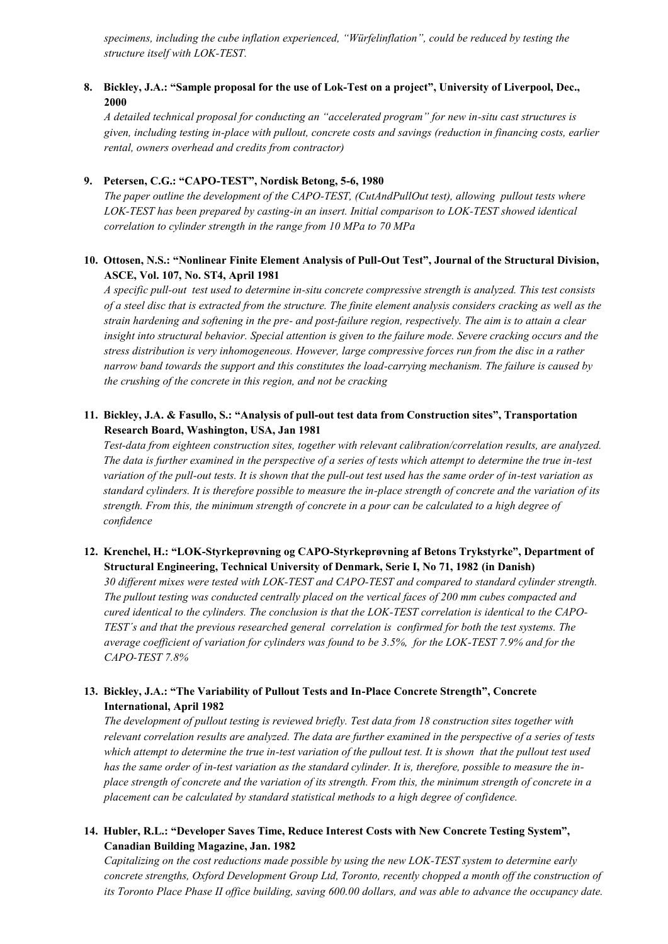*specimens, including the cube inflation experienced, "Würfelinflation", could be reduced by testing the structure itself with LOK-TEST.* 

#### **8. Bickley, J.A.: "Sample proposal for the use of Lok-Test on a project", University of Liverpool, Dec., 2000**

*A detailed technical proposal for conducting an "accelerated program" for new in-situ cast structures is given, including testing in-place with pullout, concrete costs and savings (reduction in financing costs, earlier rental, owners overhead and credits from contractor)*

#### **9. Petersen, C.G.: "CAPO-TEST", Nordisk Betong, 5-6, 1980**

*The paper outline the development of the CAPO-TEST, (CutAndPullOut test), allowing pullout tests where LOK-TEST has been prepared by casting-in an insert. Initial comparison to LOK-TEST showed identical correlation to cylinder strength in the range from 10 MPa to 70 MPa*

#### **10. Ottosen, N.S.: "Nonlinear Finite Element Analysis of Pull-Out Test", Journal of the Structural Division, ASCE, Vol. 107, No. ST4, April 1981**

*A specific pull-out test used to determine in-situ concrete compressive strength is analyzed. This test consists of a steel disc that is extracted from the structure. The finite element analysis considers cracking as well as the strain hardening and softening in the pre- and post-failure region, respectively. The aim is to attain a clear insight into structural behavior. Special attention is given to the failure mode. Severe cracking occurs and the stress distribution is very inhomogeneous. However, large compressive forces run from the disc in a rather narrow band towards the support and this constitutes the load-carrying mechanism. The failure is caused by the crushing of the concrete in this region, and not be cracking*

#### **11. Bickley, J.A. & Fasullo, S.: "Analysis of pull-out test data from Construction sites", Transportation Research Board, Washington, USA, Jan 1981**

*Test-data from eighteen construction sites, together with relevant calibration/correlation results, are analyzed. The data is further examined in the perspective of a series of tests which attempt to determine the true in-test variation of the pull-out tests. It is shown that the pull-out test used has the same order of in-test variation as standard cylinders. It is therefore possible to measure the in-place strength of concrete and the variation of its strength. From this, the minimum strength of concrete in a pour can be calculated to a high degree of confidence*

#### **12. Krenchel, H.: "LOK-Styrkeprøvning og CAPO-Styrkeprøvning af Betons Trykstyrke", Department of Structural Engineering, Technical University of Denmark, Serie I, No 71, 1982 (in Danish)**

*30 different mixes were tested with LOK-TEST and CAPO-TEST and compared to standard cylinder strength. The pullout testing was conducted centrally placed on the vertical faces of 200 mm cubes compacted and cured identical to the cylinders. The conclusion is that the LOK-TEST correlation is identical to the CAPO-TEST´s and that the previous researched general correlation is confirmed for both the test systems. The average coefficient of variation for cylinders was found to be 3.5%, for the LOK-TEST 7.9% and for the CAPO-TEST 7.8%*

#### **13. Bickley, J.A.: "The Variability of Pullout Tests and In-Place Concrete Strength", Concrete International, April 1982**

*The development of pullout testing is reviewed briefly. Test data from 18 construction sites together with relevant correlation results are analyzed. The data are further examined in the perspective of a series of tests which attempt to determine the true in-test variation of the pullout test. It is shown that the pullout test used has the same order of in-test variation as the standard cylinder. It is, therefore, possible to measure the inplace strength of concrete and the variation of its strength. From this, the minimum strength of concrete in a placement can be calculated by standard statistical methods to a high degree of confidence.* 

#### **14. Hubler, R.L.: "Developer Saves Time, Reduce Interest Costs with New Concrete Testing System", Canadian Building Magazine, Jan. 1982**

*Capitalizing on the cost reductions made possible by using the new LOK-TEST system to determine early concrete strengths, Oxford Development Group Ltd, Toronto, recently chopped a month off the construction of its Toronto Place Phase II office building, saving 600.00 dollars, and was able to advance the occupancy date.*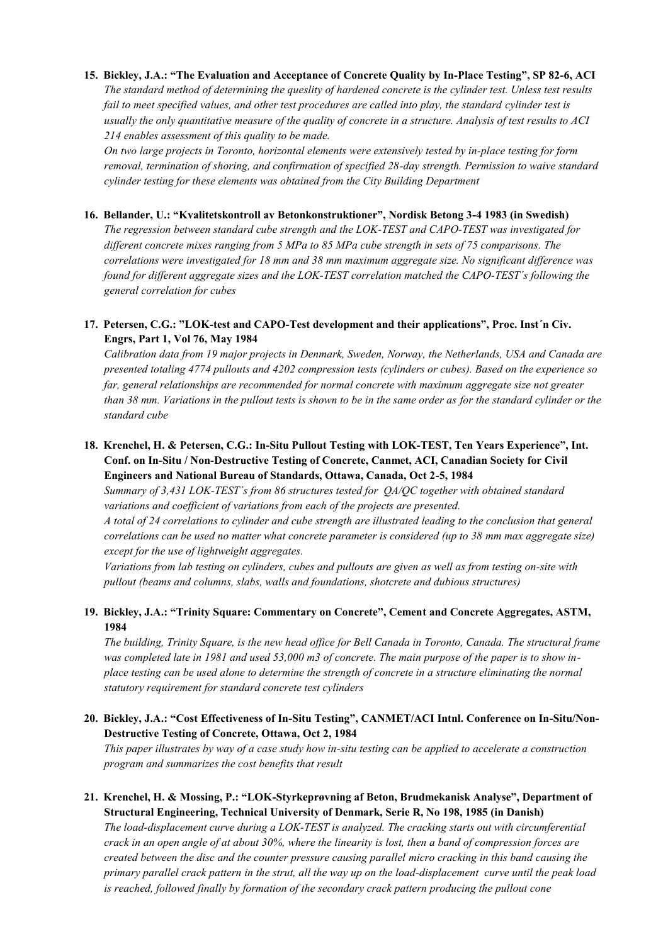# **15. Bickley, J.A.: "The Evaluation and Acceptance of Concrete Quality by In-Place Testing", SP 82-6, ACI** *The standard method of determining the queslity of hardened concrete is the cylinder test. Unless test results fail to meet specified values, and other test procedures are called into play, the standard cylinder test is usually the only quantitative measure of the quality of concrete in a structure. Analysis of test results to ACI 214 enables assessment of this quality to be made.*

*On two large projects in Toronto, horizontal elements were extensively tested by in-place testing for form removal, termination of shoring, and confirmation of specified 28-day strength. Permission to waive standard cylinder testing for these elements was obtained from the City Building Department*

#### **16. Bellander, U.: "Kvalitetskontroll av Betonkonstruktioner", Nordisk Betong 3-4 1983 (in Swedish)**

*The regression between standard cube strength and the LOK-TEST and CAPO-TEST was investigated for different concrete mixes ranging from 5 MPa to 85 MPa cube strength in sets of 75 comparisons. The correlations were investigated for 18 mm and 38 mm maximum aggregate size. No significant difference was found for different aggregate sizes and the LOK-TEST correlation matched the CAPO-TEST´s following the general correlation for cubes*

## **17. Petersen, C.G.: "LOK-test and CAPO-Test development and their applications", Proc. Inst´n Civ. Engrs, Part 1, Vol 76, May 1984**

*Calibration data from 19 major projects in Denmark, Sweden, Norway, the Netherlands, USA and Canada are presented totaling 4774 pullouts and 4202 compression tests (cylinders or cubes). Based on the experience so far, general relationships are recommended for normal concrete with maximum aggregate size not greater than 38 mm. Variations in the pullout tests is shown to be in the same order as for the standard cylinder or the standard cube*

# **18. Krenchel, H. & Petersen, C.G.: In-Situ Pullout Testing with LOK-TEST, Ten Years Experience", Int. Conf. on In-Situ / Non-Destructive Testing of Concrete, Canmet, ACI, Canadian Society for Civil Engineers and National Bureau of Standards, Ottawa, Canada, Oct 2-5, 1984**

*Summary of 3,431 LOK-TEST´s from 86 structures tested for QA/QC together with obtained standard variations and coefficient of variations from each of the projects are presented.* 

*A total of 24 correlations to cylinder and cube strength are illustrated leading to the conclusion that general correlations can be used no matter what concrete parameter is considered (up to 38 mm max aggregate size) except for the use of lightweight aggregates.*

*Variations from lab testing on cylinders, cubes and pullouts are given as well as from testing on-site with pullout (beams and columns, slabs, walls and foundations, shotcrete and dubious structures)*

## **19. Bickley, J.A.: "Trinity Square: Commentary on Concrete", Cement and Concrete Aggregates, ASTM, 1984**

*The building, Trinity Square, is the new head office for Bell Canada in Toronto, Canada. The structural frame was completed late in 1981 and used 53,000 m3 of concrete. The main purpose of the paper is to show inplace testing can be used alone to determine the strength of concrete in a structure eliminating the normal statutory requirement for standard concrete test cylinders*

## **20. Bickley, J.A.: "Cost Effectiveness of In-Situ Testing", CANMET/ACI Intnl. Conference on In-Situ/Non-Destructive Testing of Concrete, Ottawa, Oct 2, 1984**

*This paper illustrates by way of a case study how in-situ testing can be applied to accelerate a construction program and summarizes the cost benefits that result*

# **21. Krenchel, H. & Mossing, P.: "LOK-Styrkeprøvning af Beton, Brudmekanisk Analyse", Department of Structural Engineering, Technical University of Denmark, Serie R, No 198, 1985 (in Danish)**

*The load-displacement curve during a LOK-TEST is analyzed. The cracking starts out with circumferential crack in an open angle of at about 30%, where the linearity is lost, then a band of compression forces are created between the disc and the counter pressure causing parallel micro cracking in this band causing the primary parallel crack pattern in the strut, all the way up on the load-displacement curve until the peak load is reached, followed finally by formation of the secondary crack pattern producing the pullout cone*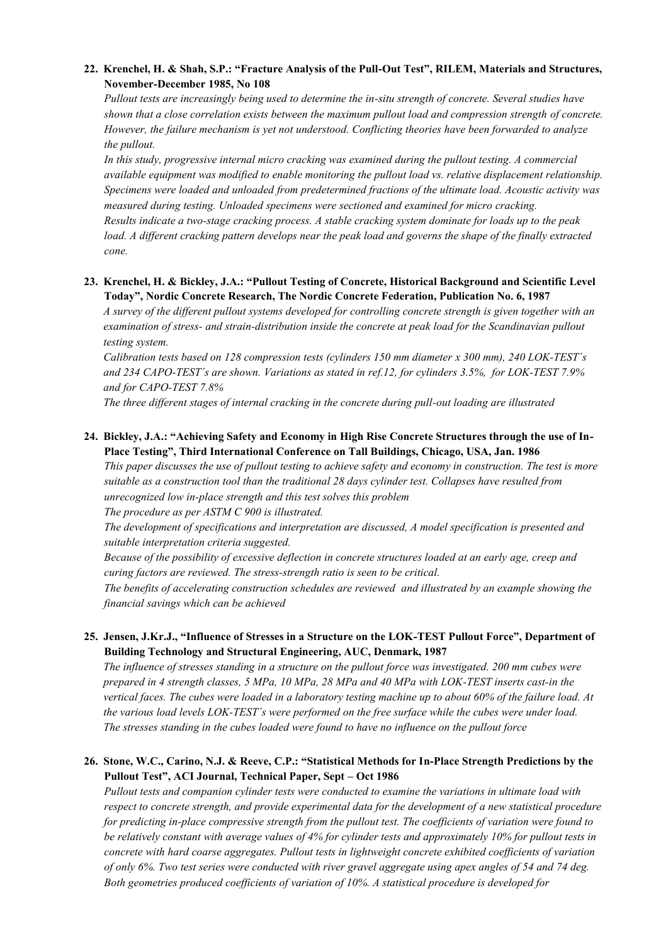#### **22. Krenchel, H. & Shah, S.P.: "Fracture Analysis of the Pull-Out Test", RILEM, Materials and Structures, November-December 1985, No 108**

*Pullout tests are increasingly being used to determine the in-situ strength of concrete. Several studies have shown that a close correlation exists between the maximum pullout load and compression strength of concrete. However, the failure mechanism is yet not understood. Conflicting theories have been forwarded to analyze the pullout.*

*In this study, progressive internal micro cracking was examined during the pullout testing. A commercial available equipment was modified to enable monitoring the pullout load vs. relative displacement relationship. Specimens were loaded and unloaded from predetermined fractions of the ultimate load. Acoustic activity was measured during testing. Unloaded specimens were sectioned and examined for micro cracking. Results indicate a two-stage cracking process. A stable cracking system dominate for loads up to the peak load. A different cracking pattern develops near the peak load and governs the shape of the finally extracted cone.* 

#### **23. Krenchel, H. & Bickley, J.A.: "Pullout Testing of Concrete, Historical Background and Scientific Level Today", Nordic Concrete Research, The Nordic Concrete Federation, Publication No. 6, 1987**

*A survey of the different pullout systems developed for controlling concrete strength is given together with an examination of stress- and strain-distribution inside the concrete at peak load for the Scandinavian pullout testing system.*

*Calibration tests based on 128 compression tests (cylinders 150 mm diameter x 300 mm), 240 LOK-TEST´s and 234 CAPO-TEST´s are shown. Variations as stated in ref.12, for cylinders 3.5%, for LOK-TEST 7.9% and for CAPO-TEST 7.8%*

*The three different stages of internal cracking in the concrete during pull-out loading are illustrated*

## **24. Bickley, J.A.: "Achieving Safety and Economy in High Rise Concrete Structures through the use of In-Place Testing", Third International Conference on Tall Buildings, Chicago, USA, Jan. 1986**

*This paper discusses the use of pullout testing to achieve safety and economy in construction. The test is more suitable as a construction tool than the traditional 28 days cylinder test. Collapses have resulted from unrecognized low in-place strength and this test solves this problem The procedure as per ASTM C 900 is illustrated.*

*The development of specifications and interpretation are discussed, A model specification is presented and suitable interpretation criteria suggested.*

*Because of the possibility of excessive deflection in concrete structures loaded at an early age, creep and curing factors are reviewed. The stress-strength ratio is seen to be critical.*

*The benefits of accelerating construction schedules are reviewed and illustrated by an example showing the financial savings which can be achieved*

## **25. Jensen, J.Kr.J., "Influence of Stresses in a Structure on the LOK-TEST Pullout Force", Department of Building Technology and Structural Engineering, AUC, Denmark, 1987**

*The influence of stresses standing in a structure on the pullout force was investigated. 200 mm cubes were prepared in 4 strength classes, 5 MPa, 10 MPa, 28 MPa and 40 MPa with LOK-TEST inserts cast-in the vertical faces. The cubes were loaded in a laboratory testing machine up to about 60% of the failure load. At the various load levels LOK-TEST´s were performed on the free surface while the cubes were under load. The stresses standing in the cubes loaded were found to have no influence on the pullout force*

## **26. Stone, W.C., Carino, N.J. & Reeve, C.P.: "Statistical Methods for In-Place Strength Predictions by the Pullout Test", ACI Journal, Technical Paper, Sept – Oct 1986**

*Pullout tests and companion cylinder tests were conducted to examine the variations in ultimate load with respect to concrete strength, and provide experimental data for the development of a new statistical procedure for predicting in-place compressive strength from the pullout test. The coefficients of variation were found to be relatively constant with average values of 4% for cylinder tests and approximately 10% for pullout tests in concrete with hard coarse aggregates. Pullout tests in lightweight concrete exhibited coefficients of variation of only 6%. Two test series were conducted with river gravel aggregate using apex angles of 54 and 74 deg. Both geometries produced coefficients of variation of 10%. A statistical procedure is developed for*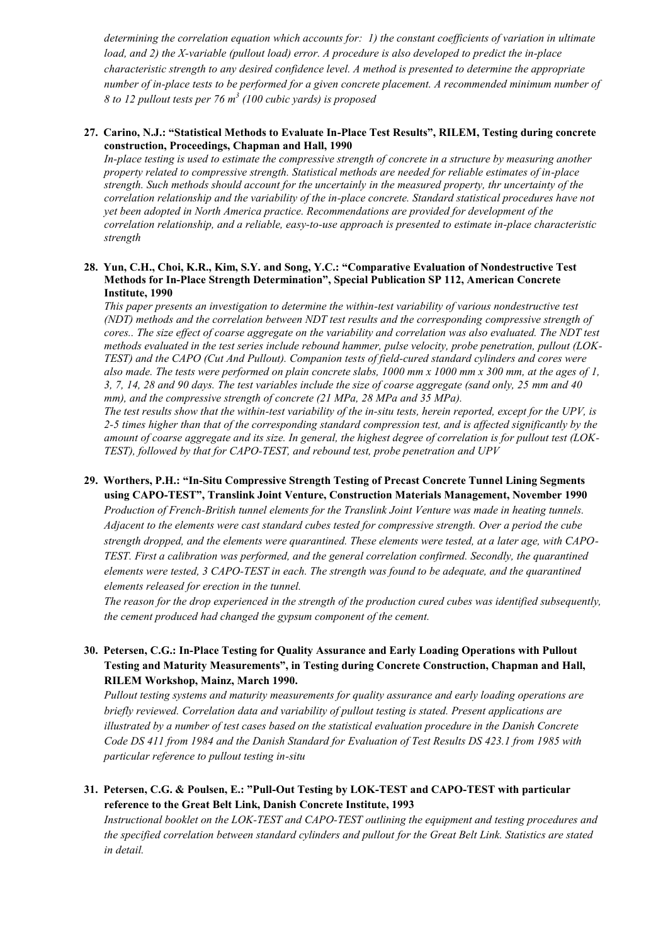*determining the correlation equation which accounts for: 1) the constant coefficients of variation in ultimate load, and 2) the X-variable (pullout load) error. A procedure is also developed to predict the in-place characteristic strength to any desired confidence level. A method is presented to determine the appropriate number of in-place tests to be performed for a given concrete placement. A recommended minimum number of 8 to 12 pullout tests per 76 m<sup>3</sup> (100 cubic yards) is proposed*

#### **27. Carino, N.J.: "Statistical Methods to Evaluate In-Place Test Results", RILEM, Testing during concrete construction, Proceedings, Chapman and Hall, 1990**

*In-place testing is used to estimate the compressive strength of concrete in a structure by measuring another property related to compressive strength. Statistical methods are needed for reliable estimates of in-place strength. Such methods should account for the uncertainly in the measured property, thr uncertainty of the correlation relationship and the variability of the in-place concrete. Standard statistical procedures have not yet been adopted in North America practice. Recommendations are provided for development of the correlation relationship, and a reliable, easy-to-use approach is presented to estimate in-place characteristic strength*

#### **28. Yun, C.H., Choi, K.R., Kim, S.Y. and Song, Y.C.: "Comparative Evaluation of Nondestructive Test Methods for In-Place Strength Determination", Special Publication SP 112, American Concrete Institute, 1990**

*This paper presents an investigation to determine the within-test variability of various nondestructive test (NDT) methods and the correlation between NDT test results and the corresponding compressive strength of cores.. The size effect of coarse aggregate on the variability and correlation was also evaluated. The NDT test methods evaluated in the test series include rebound hammer, pulse velocity, probe penetration, pullout (LOK-TEST) and the CAPO (Cut And Pullout). Companion tests of field-cured standard cylinders and cores were also made. The tests were performed on plain concrete slabs, 1000 mm x 1000 mm x 300 mm, at the ages of 1, 3, 7, 14, 28 and 90 days. The test variables include the size of coarse aggregate (sand only, 25 mm and 40 mm), and the compressive strength of concrete (21 MPa, 28 MPa and 35 MPa).*

*The test results show that the within-test variability of the in-situ tests, herein reported, except for the UPV, is 2-5 times higher than that of the corresponding standard compression test, and is affected significantly by the amount of coarse aggregate and its size. In general, the highest degree of correlation is for pullout test (LOK-TEST), followed by that for CAPO-TEST, and rebound test, probe penetration and UPV*

# **29. Worthers, P.H.: "In-Situ Compressive Strength Testing of Precast Concrete Tunnel Lining Segments using CAPO-TEST", Translink Joint Venture, Construction Materials Management, November 1990**

*Production of French-British tunnel elements for the Translink Joint Venture was made in heating tunnels. Adjacent to the elements were cast standard cubes tested for compressive strength. Over a period the cube strength dropped, and the elements were quarantined. These elements were tested, at a later age, with CAPO-TEST. First a calibration was performed, and the general correlation confirmed. Secondly, the quarantined elements were tested, 3 CAPO-TEST in each. The strength was found to be adequate, and the quarantined elements released for erection in the tunnel.* 

*The reason for the drop experienced in the strength of the production cured cubes was identified subsequently, the cement produced had changed the gypsum component of the cement.*

#### **30. Petersen, C.G.: In-Place Testing for Quality Assurance and Early Loading Operations with Pullout Testing and Maturity Measurements", in Testing during Concrete Construction, Chapman and Hall, RILEM Workshop, Mainz, March 1990.**

*Pullout testing systems and maturity measurements for quality assurance and early loading operations are briefly reviewed. Correlation data and variability of pullout testing is stated. Present applications are illustrated by a number of test cases based on the statistical evaluation procedure in the Danish Concrete Code DS 411 from 1984 and the Danish Standard for Evaluation of Test Results DS 423.1 from 1985 with particular reference to pullout testing in-situ*

## **31. Petersen, C.G. & Poulsen, E.: "Pull-Out Testing by LOK-TEST and CAPO-TEST with particular reference to the Great Belt Link, Danish Concrete Institute, 1993**

*Instructional booklet on the LOK-TEST and CAPO-TEST outlining the equipment and testing procedures and the specified correlation between standard cylinders and pullout for the Great Belt Link. Statistics are stated in detail.*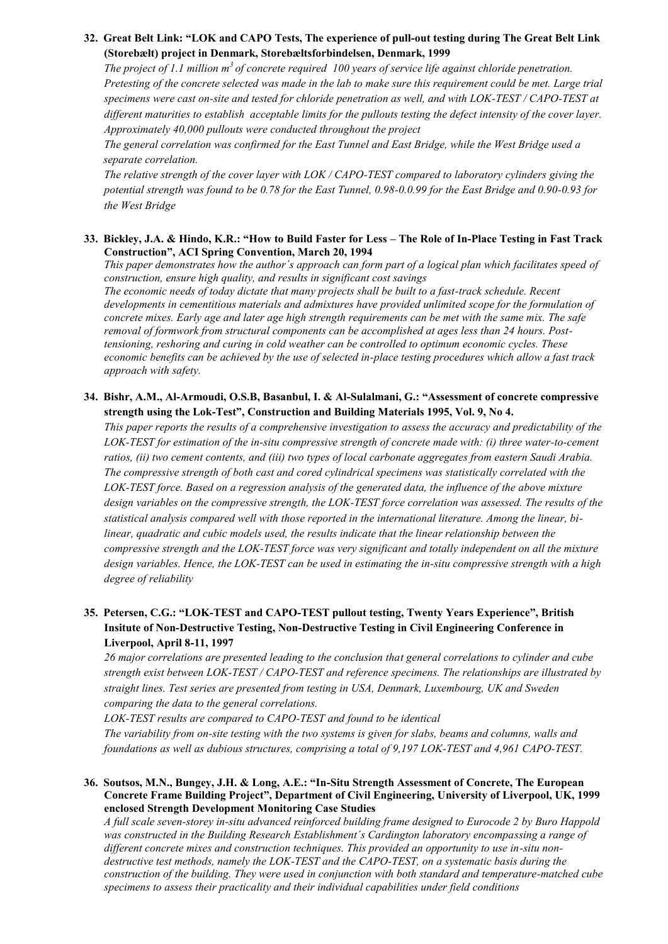#### **32. Great Belt Link: "LOK and CAPO Tests, The experience of pull-out testing during The Great Belt Link (Storebælt) project in Denmark, Storebæltsforbindelsen, Denmark, 1999**

*The project of 1.1 million m<sup>3</sup>of concrete required 100 years of service life against chloride penetration. Pretesting of the concrete selected was made in the lab to make sure this requirement could be met. Large trial specimens were cast on-site and tested for chloride penetration as well, and with LOK-TEST / CAPO-TEST at different maturities to establish acceptable limits for the pullouts testing the defect intensity of the cover layer. Approximately 40,000 pullouts were conducted throughout the project*

*The general correlation was confirmed for the East Tunnel and East Bridge, while the West Bridge used a separate correlation.* 

*The relative strength of the cover layer with LOK / CAPO-TEST compared to laboratory cylinders giving the potential strength was found to be 0.78 for the East Tunnel, 0.98-0.0.99 for the East Bridge and 0.90-0.93 for the West Bridge*

#### **33. Bickley, J.A. & Hindo, K.R.: "How to Build Faster for Less – The Role of In-Place Testing in Fast Track Construction", ACI Spring Convention, March 20, 1994**

*This paper demonstrates how the author´s approach can form part of a logical plan which facilitates speed of construction, ensure high quality, and results in significant cost savings The economic needs of today dictate that many projects shall be built to a fast-track schedule. Recent developments in cementitious materials and admixtures have provided unlimited scope for the formulation of concrete mixes. Early age and later age high strength requirements can be met with the same mix. The safe removal of formwork from structural components can be accomplished at ages less than 24 hours. Posttensioning, reshoring and curing in cold weather can be controlled to optimum economic cycles. These economic benefits can be achieved by the use of selected in-place testing procedures which allow a fast track approach with safety.* 

#### **34. Bishr, A.M., Al-Armoudi, O.S.B, Basanbul, I. & Al-Sulalmani, G.: "Assessment of concrete compressive strength using the Lok-Test", Construction and Building Materials 1995, Vol. 9, No 4.**

*This paper reports the results of a comprehensive investigation to assess the accuracy and predictability of the LOK-TEST for estimation of the in-situ compressive strength of concrete made with: (i) three water-to-cement ratios, (ii) two cement contents, and (iii) two types of local carbonate aggregates from eastern Saudi Arabia. The compressive strength of both cast and cored cylindrical specimens was statistically correlated with the LOK-TEST force. Based on a regression analysis of the generated data, the influence of the above mixture design variables on the compressive strength, the LOK-TEST force correlation was assessed. The results of the statistical analysis compared well with those reported in the international literature. Among the linear, bilinear, quadratic and cubic models used, the results indicate that the linear relationship between the compressive strength and the LOK-TEST force was very significant and totally independent on all the mixture design variables. Hence, the LOK-TEST can be used in estimating the in-situ compressive strength with a high degree of reliability*

# **35. Petersen, C.G.: "LOK-TEST and CAPO-TEST pullout testing, Twenty Years Experience", British Insitute of Non-Destructive Testing, Non-Destructive Testing in Civil Engineering Conference in Liverpool, April 8-11, 1997**

*26 major correlations are presented leading to the conclusion that general correlations to cylinder and cube strength exist between LOK-TEST / CAPO-TEST and reference specimens. The relationships are illustrated by straight lines. Test series are presented from testing in USA, Denmark, Luxembourg, UK and Sweden comparing the data to the general correlations.* 

*LOK-TEST results are compared to CAPO-TEST and found to be identical* 

*The variability from on-site testing with the two systems is given for slabs, beams and columns, walls and foundations as well as dubious structures, comprising a total of 9,197 LOK-TEST and 4,961 CAPO-TEST.* 

**36. Soutsos, M.N., Bungey, J.H. & Long, A.E.: "In-Situ Strength Assessment of Concrete, The European Concrete Frame Building Project", Department of Civil Engineering, University of Liverpool, UK, 1999 enclosed Strength Development Monitoring Case Studies**

*A full scale seven-storey in-situ advanced reinforced building frame designed to Eurocode 2 by Buro Happold was constructed in the Building Research Establishment´s Cardington laboratory encompassing a range of different concrete mixes and construction techniques. This provided an opportunity to use in-situ nondestructive test methods, namely the LOK-TEST and the CAPO-TEST, on a systematic basis during the construction of the building. They were used in conjunction with both standard and temperature-matched cube specimens to assess their practicality and their individual capabilities under field conditions*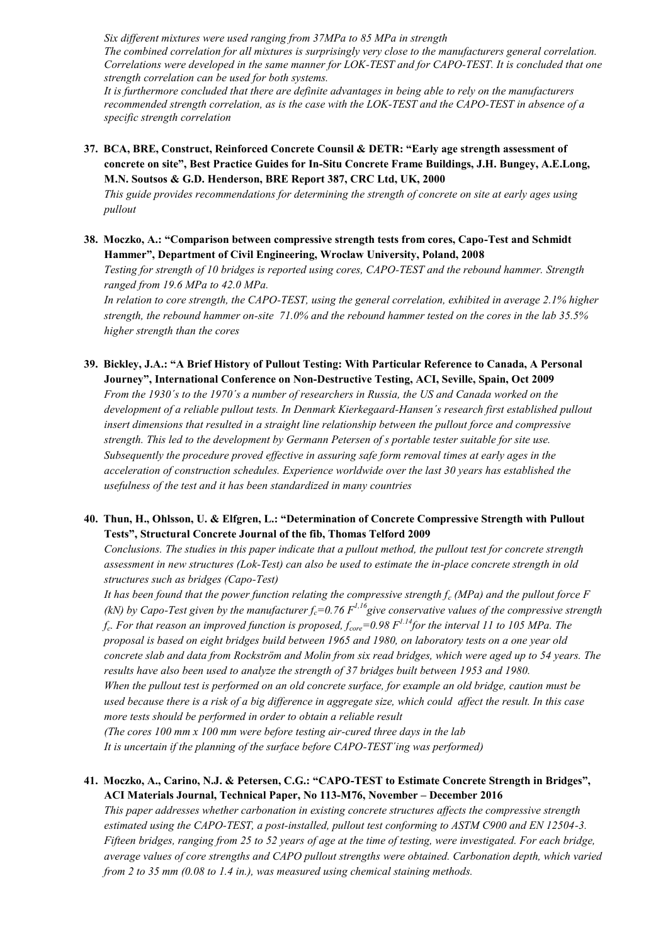*Six different mixtures were used ranging from 37MPa to 85 MPa in strength*

*The combined correlation for all mixtures is surprisingly very close to the manufacturers general correlation. Correlations were developed in the same manner for LOK-TEST and for CAPO-TEST. It is concluded that one strength correlation can be used for both systems.*

*It is furthermore concluded that there are definite advantages in being able to rely on the manufacturers recommended strength correlation, as is the case with the LOK-TEST and the CAPO-TEST in absence of a specific strength correlation*

**37. BCA, BRE, Construct, Reinforced Concrete Counsil & DETR: "Early age strength assessment of concrete on site", Best Practice Guides for In-Situ Concrete Frame Buildings, J.H. Bungey, A.E.Long, M.N. Soutsos & G.D. Henderson, BRE Report 387, CRC Ltd, UK, 2000**

*This guide provides recommendations for determining the strength of concrete on site at early ages using pullout*

**38. Moczko, A.: "Comparison between compressive strength tests from cores, Capo-Test and Schmidt Hammer", Department of Civil Engineering, Wroclaw University, Poland, 2008**

*Testing for strength of 10 bridges is reported using cores, CAPO-TEST and the rebound hammer. Strength ranged from 19.6 MPa to 42.0 MPa.*

*In relation to core strength, the CAPO-TEST, using the general correlation, exhibited in average 2.1% higher strength, the rebound hammer on-site 71.0% and the rebound hammer tested on the cores in the lab 35.5% higher strength than the cores*

**39. Bickley, J.A.: "A Brief History of Pullout Testing: With Particular Reference to Canada, A Personal Journey", International Conference on Non-Destructive Testing, ACI, Seville, Spain, Oct 2009**

*From the 1930´s to the 1970´s a number of researchers in Russia, the US and Canada worked on the development of a reliable pullout tests. In Denmark Kierkegaard-Hansen´s research first established pullout insert dimensions that resulted in a straight line relationship between the pullout force and compressive strength. This led to the development by Germann Petersen of s portable tester suitable for site use. Subsequently the procedure proved effective in assuring safe form removal times at early ages in the acceleration of construction schedules. Experience worldwide over the last 30 years has established the usefulness of the test and it has been standardized in many countries*

## **40. Thun, H., Ohlsson, U. & Elfgren, L.: "Determination of Concrete Compressive Strength with Pullout Tests", Structural Concrete Journal of the fib, Thomas Telford 2009**

*Conclusions. The studies in this paper indicate that a pullout method, the pullout test for concrete strength assessment in new structures (Lok-Test) can also be used to estimate the in-place concrete strength in old structures such as bridges (Capo-Test)*

*It has been found that the power function relating the compressive strength f<sup>c</sup> (MPa) and the pullout force F (kN) by Capo-Test given by the manufacturer*  $f_c$ *=0.76*  $F^{1,16}$  *give conservative values of the compressive strength fc . For that reason an improved function is proposed, fcore=0.98 F1.14for the interval 11 to 105 MPa. The proposal is based on eight bridges build between 1965 and 1980, on laboratory tests on a one year old concrete slab and data from Rockström and Molin from six read bridges, which were aged up to 54 years. The results have also been used to analyze the strength of 37 bridges built between 1953 and 1980. When the pullout test is performed on an old concrete surface, for example an old bridge, caution must be used because there is a risk of a big difference in aggregate size, which could affect the result. In this case more tests should be performed in order to obtain a reliable result (The cores 100 mm x 100 mm were before testing air-cured three days in the lab*

*It is uncertain if the planning of the surface before CAPO-TEST´ing was performed)*

## **41. Moczko, A., Carino, N.J. & Petersen, C.G.: "CAPO-TEST to Estimate Concrete Strength in Bridges", ACI Materials Journal, Technical Paper, No 113-M76, November – December 2016**

*This paper addresses whether carbonation in existing concrete structures affects the compressive strength estimated using the CAPO-TEST, a post-installed, pullout test conforming to ASTM C900 and EN 12504-3. Fifteen bridges, ranging from 25 to 52 years of age at the time of testing, were investigated. For each bridge, average values of core strengths and CAPO pullout strengths were obtained. Carbonation depth, which varied from 2 to 35 mm (0.08 to 1.4 in.), was measured using chemical staining methods.*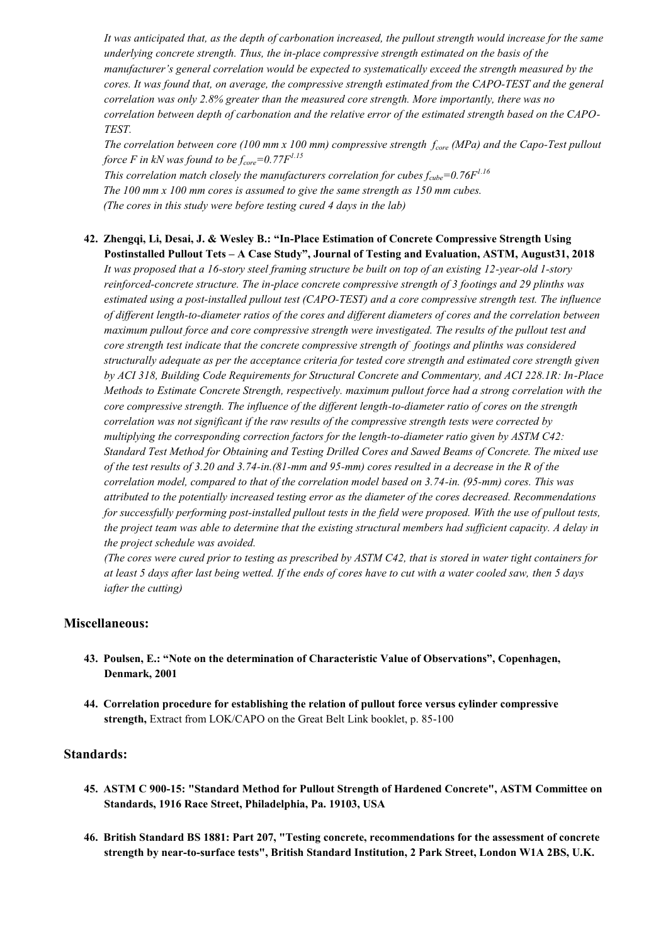*It was anticipated that, as the depth of carbonation increased, the pullout strength would increase for the same underlying concrete strength. Thus, the in-place compressive strength estimated on the basis of the manufacturer's general correlation would be expected to systematically exceed the strength measured by the cores. It was found that, on average, the compressive strength estimated from the CAPO-TEST and the general correlation was only 2.8% greater than the measured core strength. More importantly, there was no correlation between depth of carbonation and the relative error of the estimated strength based on the CAPO-TEST.*

*The correlation between core (100 mm x 100 mm) compressive strength fcore (MPa) and the Capo-Test pullout force F in kN was found to be fcore=0.77F1.15*

*This correlation match closely the manufacturers correlation for cubes fcube=0.76F1.16 The 100 mm x 100 mm cores is assumed to give the same strength as 150 mm cubes. (The cores in this study were before testing cured 4 days in the lab)*

#### **42. Zhengqi, Li, Desai, J. & Wesley B.: "In-Place Estimation of Concrete Compressive Strength Using Postinstalled Pullout Tets – A Case Study", Journal of Testing and Evaluation, ASTM, August31, 2018**

*It was proposed that a 16-story steel framing structure be built on top of an existing 12-year-old 1-story reinforced-concrete structure. The in-place concrete compressive strength of 3 footings and 29 plinths was estimated using a post-installed pullout test (CAPO-TEST) and a core compressive strength test. The influence of different length-to-diameter ratios of the cores and different diameters of cores and the correlation between maximum pullout force and core compressive strength were investigated. The results of the pullout test and core strength test indicate that the concrete compressive strength of footings and plinths was considered structurally adequate as per the acceptance criteria for tested core strength and estimated core strength given by ACI 318, Building Code Requirements for Structural Concrete and Commentary, and ACI 228.1R: In-Place Methods to Estimate Concrete Strength, respectively. maximum pullout force had a strong correlation with the core compressive strength. The influence of the different length-to-diameter ratio of cores on the strength correlation was not significant if the raw results of the compressive strength tests were corrected by multiplying the corresponding correction factors for the length-to-diameter ratio given by ASTM C42: Standard Test Method for Obtaining and Testing Drilled Cores and Sawed Beams of Concrete. The mixed use of the test results of 3.20 and 3.74-in.(81-mm and 95-mm) cores resulted in a decrease in the R of the correlation model, compared to that of the correlation model based on 3.74-in. (95-mm) cores. This was attributed to the potentially increased testing error as the diameter of the cores decreased. Recommendations for successfully performing post-installed pullout tests in the field were proposed. With the use of pullout tests, the project team was able to determine that the existing structural members had sufficient capacity. A delay in the project schedule was avoided.*

*(The cores were cured prior to testing as prescribed by ASTM C42, that is stored in water tight containers for at least 5 days after last being wetted. If the ends of cores have to cut with a water cooled saw, then 5 days iafter the cutting)*

#### **Miscellaneous:**

- **43. Poulsen, E.: "Note on the determination of Characteristic Value of Observations", Copenhagen, Denmark, 2001**
- **44. Correlation procedure for establishing the relation of pullout force versus cylinder compressive strength,** Extract from LOK/CAPO on the Great Belt Link booklet, p. 85-100

#### **Standards:**

- **45. ASTM C 900-15: "Standard Method for Pullout Strength of Hardened Concrete", ASTM Committee on Standards, 1916 Race Street, Philadelphia, Pa. 19103, USA**
- **46. British Standard BS 1881: Part 207, "Testing concrete, recommendations for the assessment of concrete strength by near-to-surface tests", British Standard Institution, 2 Park Street, London W1A 2BS, U.K.**